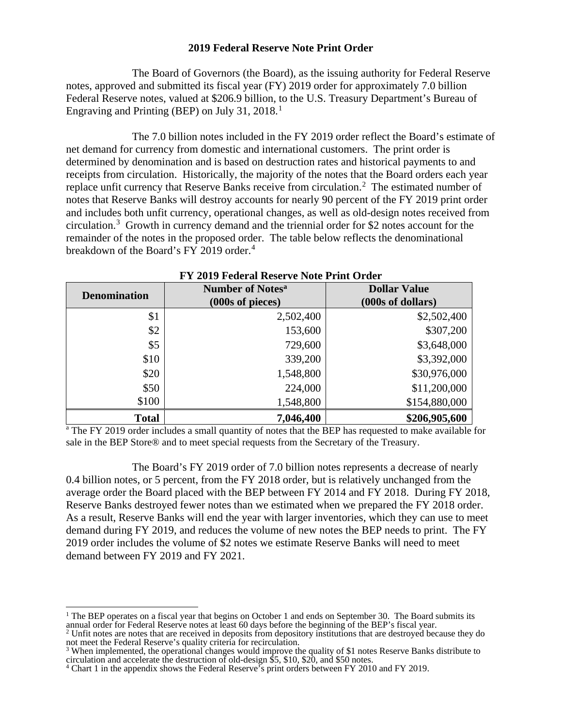## **2019 Federal Reserve Note Print Order**

The Board of Governors (the Board), as the issuing authority for Federal Reserve notes, approved and submitted its fiscal year (FY) 2019 order for approximately 7.0 billion Federal Reserve notes, valued at \$206.9 billion, to the U.S. Treasury Department's Bureau of Engraving and Printing (BEP) on July 3[1](#page-0-0), 2018. $<sup>1</sup>$ </sup>

The 7.0 billion notes included in the FY 2019 order reflect the Board's estimate of net demand for currency from domestic and international customers. The print order is determined by denomination and is based on destruction rates and historical payments to and receipts from circulation. Historically, the majority of the notes that the Board orders each year replace unfit currency that Reserve Banks receive from circulation.<sup>[2](#page-0-1)</sup> The estimated number of notes that Reserve Banks will destroy accounts for nearly 90 percent of the FY 2019 print order and includes both unfit currency, operational changes, as well as old-design notes received from circulation.<sup>[3](#page-0-2)</sup> Growth in currency demand and the triennial order for \$2 notes account for the remainder of the notes in the proposed order. The table below reflects the denominational breakdown of the Board's FY 2019 order.<sup>[4](#page-0-3)</sup>

| <b>Denomination</b> | <b>Number of Notes<sup>a</sup></b><br>(000s of pieces) | <b>Dollar Value</b><br>(000s of dollars) |
|---------------------|--------------------------------------------------------|------------------------------------------|
| \$1                 | 2,502,400                                              | \$2,502,400                              |
| \$2                 | 153,600                                                | \$307,200                                |
| \$5                 | 729,600                                                | \$3,648,000                              |
| \$10                | 339,200                                                | \$3,392,000                              |
| \$20                | 1,548,800                                              | \$30,976,000                             |
| \$50                | 224,000                                                | \$11,200,000                             |
| \$100               | 1,548,800                                              | \$154,880,000                            |
| <b>Total</b>        | 7,046,400                                              | \$206,905,600                            |

## **FY 2019 Federal Reserve Note Print Order**

<sup>a</sup> The FY 2019 order includes a small quantity of notes that the BEP has requested to make available for sale in the BEP Store® and to meet special requests from the Secretary of the Treasury.

 The Board's FY 2019 order of 7.0 billion notes represents a decrease of nearly 0.4 billion notes, or 5 percent, from the FY 2018 order, but is relatively unchanged from the average order the Board placed with the BEP between FY 2014 and FY 2018. During FY 2018, Reserve Banks destroyed fewer notes than we estimated when we prepared the FY 2018 order. As a result, Reserve Banks will end the year with larger inventories, which they can use to meet demand during FY 2019, and reduces the volume of new notes the BEP needs to print. The FY 2019 order includes the volume of \$2 notes we estimate Reserve Banks will need to meet demand between FY 2019 and FY 2021.

 $\overline{a}$ 

<span id="page-0-0"></span><sup>&</sup>lt;sup>1</sup> The BEP operates on a fiscal year that begins on October 1 and ends on September 30. The Board submits its annual order for Federal Reserve notes at least 60 days before the beginning of the BEP's fiscal year.

<span id="page-0-1"></span> $2$  Unfit notes are notes that are received in deposits from depository institutions that are destroyed because they do not meet the Federal Reserve's quality criteria for recirculation.

<span id="page-0-2"></span><sup>&</sup>lt;sup>3</sup> When implemented, the operational changes would improve the quality of \$1 notes Reserve Banks distribute to circulation and accelerate the destruction of old-design \$5, \$10, \$20, and \$50 notes. 4 Chart 1 in the appendix shows the Federal Reserve's print orders between FY 2010 and FY 2019.

<span id="page-0-3"></span>